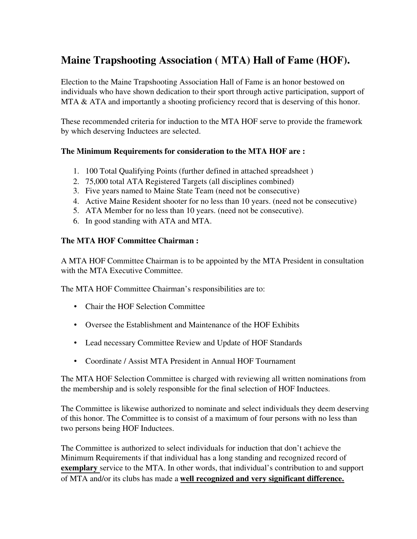# Maine Trapshooting Association ( MTA) Hall of Fame (HOF).

Election to the Maine Trapshooting Association Hall of Fame is an honor bestowed on individuals who have shown dedication to their sport through active participation, support of MTA & ATA and importantly a shooting proficiency record that is deserving of this honor.

These recommended criteria for induction to the MTA HOF serve to provide the framework by which deserving Inductees are selected.

### The Minimum Requirements for consideration to the MTA HOF are :

- 1. 100 Total Qualifying Points (further defined in attached spreadsheet )
- 2. 75,000 total ATA Registered Targets (all disciplines combined)
- 3. Five years named to Maine State Team (need not be consecutive)
- 4. Active Maine Resident shooter for no less than 10 years. (need not be consecutive)
- 5. ATA Member for no less than 10 years. (need not be consecutive).
- 6. In good standing with ATA and MTA.

### The MTA HOF Committee Chairman :

A MTA HOF Committee Chairman is to be appointed by the MTA President in consultation with the MTA Executive Committee.

The MTA HOF Committee Chairman's responsibilities are to:

- Chair the HOF Selection Committee
- Oversee the Establishment and Maintenance of the HOF Exhibits
- Lead necessary Committee Review and Update of HOF Standards
- Coordinate / Assist MTA President in Annual HOF Tournament

The MTA HOF Selection Committee is charged with reviewing all written nominations from the membership and is solely responsible for the final selection of HOF Inductees.

The Committee is likewise authorized to nominate and select individuals they deem deserving of this honor. The Committee is to consist of a maximum of four persons with no less than two persons being HOF Inductees.

The Committee is authorized to select individuals for induction that don't achieve the Minimum Requirements if that individual has a long standing and recognized record of exemplary service to the MTA. In other words, that individual's contribution to and support of MTA and/or its clubs has made a well recognized and very significant difference.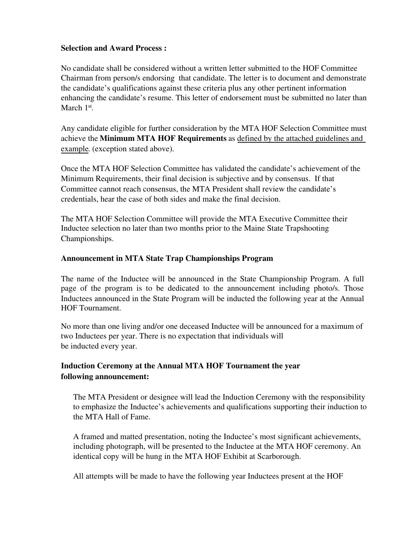#### Selection and Award Process :

No candidate shall be considered without a written letter submitted to the HOF Committee Chairman from person/s endorsing that candidate. The letter is to document and demonstrate the candidate's qualifications against these criteria plus any other pertinent information enhancing the candidate's resume. This letter of endorsement must be submitted no later than March 1<sup>st</sup>.

Any candidate eligible for further consideration by the MTA HOF Selection Committee must achieve the Minimum MTA HOF Requirements as defined by the attached guidelines and example. (exception stated above).

Once the MTA HOF Selection Committee has validated the candidate's achievement of the Minimum Requirements, their final decision is subjective and by consensus. If that Committee cannot reach consensus, the MTA President shall review the candidate's credentials, hear the case of both sides and make the final decision.

The MTA HOF Selection Committee will provide the MTA Executive Committee their Inductee selection no later than two months prior to the Maine State Trapshooting Championships.

### Announcement in MTA State Trap Championships Program

The name of the Inductee will be announced in the State Championship Program. A full page of the program is to be dedicated to the announcement including photo/s. Those Inductees announced in the State Program will be inducted the following year at the Annual HOF Tournament.

No more than one living and/or one deceased Inductee will be announced for a maximum of two Inductees per year. There is no expectation that individuals will be inducted every year.

# Induction Ceremony at the Annual MTA HOF Tournament the year following announcement:

The MTA President or designee will lead the Induction Ceremony with the responsibility to emphasize the Inductee's achievements and qualifications supporting their induction to the MTA Hall of Fame.

A framed and matted presentation, noting the Inductee's most significant achievements, including photograph, will be presented to the Inductee at the MTA HOF ceremony. An identical copy will be hung in the MTA HOF Exhibit at Scarborough.

All attempts will be made to have the following year Inductees present at the HOF